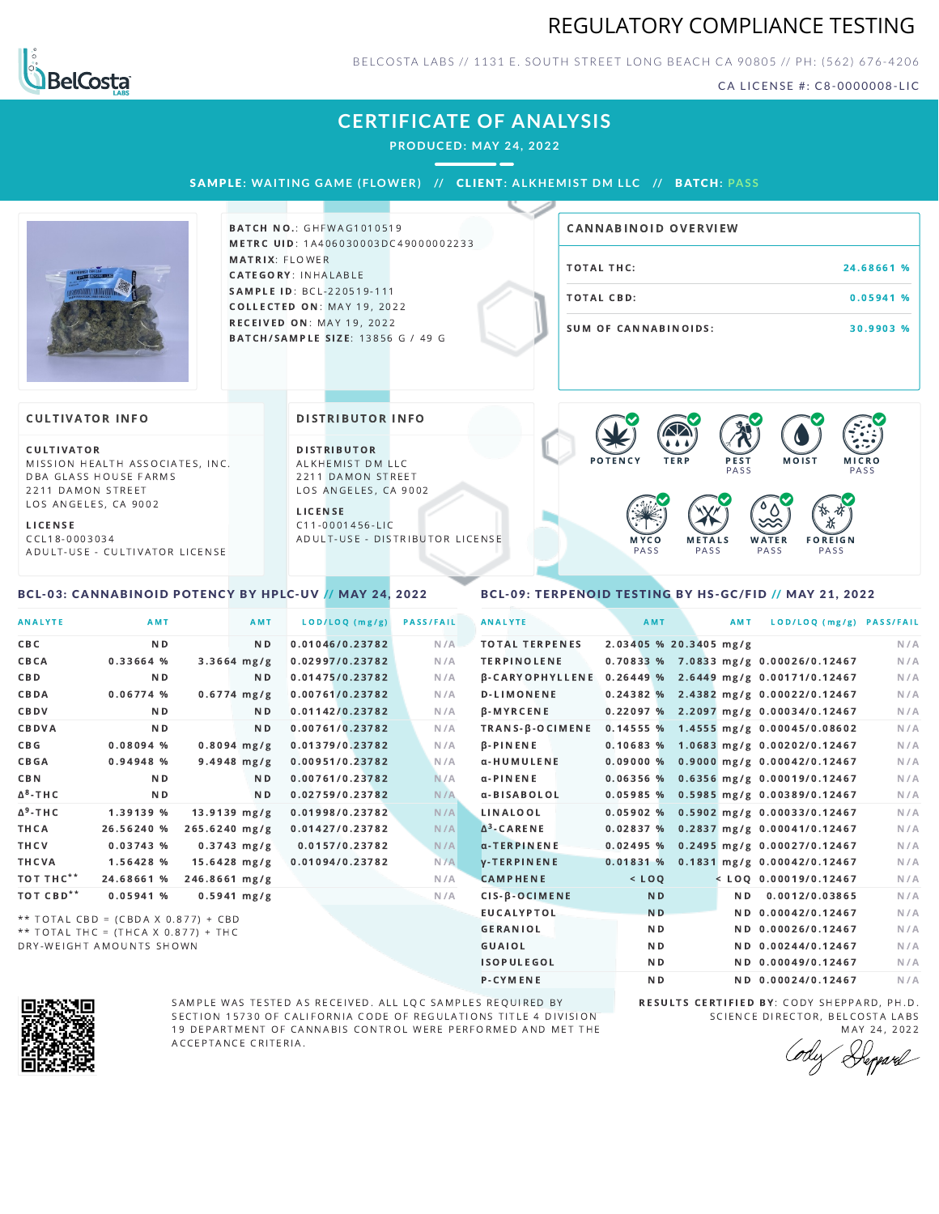## REGULATORY COMPLIANCE TESTING



BELCOSTA LABS // 1131 E. SOUTH STREET LONG BEACH C A 90805 // PH: (562) 676-4206

CA LICENSE #: C8-0000008-LIC

## **CERTIFICATE OF ANALYSIS**

**PRODUCED: MAY 24, 2022**

SAMPL E **: WA ITING GAME ( F LOWER) //** CL I ENT**: A LKHEMI ST DM L LC //** BATCH**: PA S S**



**BATCH NO.: GHFWAG1010519** METRC UID: 1A406030003DC49000002233 MATRIX: FLOWER CATEGORY: INHALABLE SAMPLE ID: BCL-220519-111 COLLECTED ON: MAY 19, 2022 RECEIVED ON: MAY 19, 2022 BATCH/SAMPLE SIZE: 13856 G / 49 G

# TOTAL THC: 24.68661 % TOTAL CBD: 0.05941 % SUM OF CANNABINOIDS: 30.9903 % CANNABINOID OVERVIEW

#### **CULTIVATOR INFO**

CULTIVATOR MISSION HEALTH ASSOCIATES, INC. DBA GLASS HOUSE FARMS 2211 DAMON STREET LOS ANGELES, CA 9002

L I C E N S E

C C L 1 8 - 0 0 0 3 0 3 4 A D U L T - U S E - C U L T I V A T O R L I CENSE

<span id="page-0-0"></span>BCL-03: CANNABINOID POTENCY BY HPLC-UV // MAY 24, 2022

#### DISTRIBUTOR INFO

D I STRIBUTOR ALKHEMIST DM LLC 2211 DAMON STREET LOS ANGELES, CA 9002

L I C E N S E C 1 1 - 0 0 0 1 4 5 6 - L I C A D U L T - U S E - D I STRIBUTOR LICENSE



### <span id="page-0-1"></span>BCL-09: TERPENOID TESTING BY HS-GC/FID // MAY 21, 2022

| <b>ANALYTE</b>        | AMT                                 |                | AMT            | LOD/LOQ (mg/g)  | <b>PASS/FAIL</b> | <b>ANALYTE</b>         | AMT                    | AMT | LOD/LOQ (mg/g) PASS/FAIL              |     |
|-----------------------|-------------------------------------|----------------|----------------|-----------------|------------------|------------------------|------------------------|-----|---------------------------------------|-----|
| CBC                   | <b>ND</b>                           |                | N <sub>D</sub> | 0.01046/0.23782 | N/A              | <b>TOTAL TERPENES</b>  | 2.03405 % 20.3405 mg/g |     |                                       | N/A |
| CBCA                  | 0.33664 %                           |                | $3.3664$ mg/g  | 0.02997/0.23782 | N/A              | <b>TERPINOLENE</b>     |                        |     | 0.70833 % 7.0833 mg/g 0.00026/0.12467 | N/A |
| CBD                   | N <sub>D</sub>                      |                | N <sub>D</sub> | 0.01475/0.23782 | N/A              | <b>B-CARYOPHYLLENE</b> |                        |     | 0.26449 % 2.6449 mg/g 0.00171/0.12467 | N/A |
| CBDA                  | 0.06774%                            |                | $0.6774$ mg/g  | 0.00761/0.23782 | N/A              | <b>D-LIMONENE</b>      |                        |     | 0.24382 % 2.4382 mg/g 0.00022/0.12467 | N/A |
| CBDV                  | N <sub>D</sub>                      |                | N <sub>D</sub> | 0.01142/0.23782 | N/A              | $\beta$ -MYRCENE       |                        |     | 0.22097 % 2.2097 mg/g 0.00034/0.12467 | N/A |
| CBDVA                 | N <sub>D</sub>                      |                | N <sub>D</sub> | 0.00761/0.23782 | N/A              | TRANS-B-OCIMENE        |                        |     | 0.14555 % 1.4555 mg/g 0.00045/0.08602 | N/A |
| C B G                 | 0.08094%                            |                | $0.8094$ mg/g  | 0.01379/0.23782 | N/A              | $\beta$ -PINENE        |                        |     | 0.10683 % 1.0683 mg/g 0.00202/0.12467 | N/A |
| CBGA                  | 0.94948 %                           |                | $9.4948$ mg/g  | 0.00951/0.23782 | N/A              | α-HUMULENE             | 0.09000%               |     | $0.9000$ mg/g $0.00042/0.12467$       | N/A |
| <b>CBN</b>            | <b>ND</b>                           |                | N <sub>D</sub> | 0.00761/0.23782 | N/A              | $\alpha$ -PINENE       | 0.06356%               |     | 0.6356 mg/g 0.00019/0.12467           | N/A |
| $\Delta^8$ -THC       | N <sub>D</sub>                      |                | N <sub>D</sub> | 0.02759/0.23782 | N/A              | α-BISABOLOL            |                        |     | 0.05985 % 0.5985 mg/g 0.00389/0.12467 | N/A |
| $\Delta^9$ -THC       | 1.39139 %                           | $13.9139$ mg/g |                | 0.01998/0.23782 | N/A              | LINALOOL               |                        |     | 0.05902 % 0.5902 mg/g 0.00033/0.12467 | N/A |
| THCA                  | 26.56240 %                          | 265.6240 mg/g  |                | 0.01427/0.23782 | N/A              | $\Delta^3$ -CARENE     | 0.02837%               |     | 0.2837 mg/g 0.00041/0.12467           | N/A |
| THCV                  | 0.03743%                            |                | $0.3743$ mg/g  | 0.0157/0.23782  | N/A              | $\alpha$ -TERPINENE    | 0.02495%               |     | 0.2495 mg/g 0.00027/0.12467           | N/A |
| THCVA                 | 1.56428 %                           | $15.6428$ mg/g |                | 0.01094/0.23782 | N/A              | <b>V-TERPINENE</b>     | 0.01831%               |     | 0.1831 mg/g 0.00042/0.12467           | N/A |
| тот тнс**             | 24.68661 %                          | 246.8661 mg/g  |                |                 | N/A              | <b>CAMPHENE</b>        | $<$ LOQ                |     | $<$ LOQ 0.00019/0.12467               | N/A |
| TOT CBD <sup>**</sup> | 0.05941%                            |                | $0.5941$ mg/g  |                 | N/A              | $CIS-B-OCIMENE$        | <b>ND</b>              | ND. | 0.0012/0.03865                        | N/A |
|                       | ** TOTAL CBD = (CBDA X 0.877) + CBD |                |                |                 |                  | EUCALYPTOL             | N <sub>D</sub>         |     | ND 0.00042/0.12467                    | N/A |
|                       | ** TOTAL THC = (THCA X 0.877) + THC |                |                |                 |                  | <b>GERANIOL</b>        | ND                     |     | ND 0.00026/0.12467                    | N/A |
|                       |                                     |                |                |                 |                  |                        |                        |     |                                       |     |

DRY-WEIGHT AMOUNTS SHOWN



SAMPLE WAS TESTED AS RECEIVED. ALL LQC SAMPLES REQUIRED BY SECTION 15730 OF CALIFORNIA CODE OF REGULATIONS TITLE 4 DIVISION 19 DEPARTMENT OF CANNABIS CONTROL WERE PERFORMED AND MET THE A C C E P T A N C E C R I T E R I A.

RESULTS CERTIFIED BY: CODY SHEPPARD, PH.D. SCIENCE DIRECTOR, BELCOSTA LABS MAY 24, 2022

G U AI O L N D N D 0 . 0 0 2 4 4 / 0 . 1 2 4 6 7 N /A ISOPULEGOL ND ND 0.00049/0.12467 N/A P-CYMENE ND ND ND 0.00024/0.12467 N/A

Depard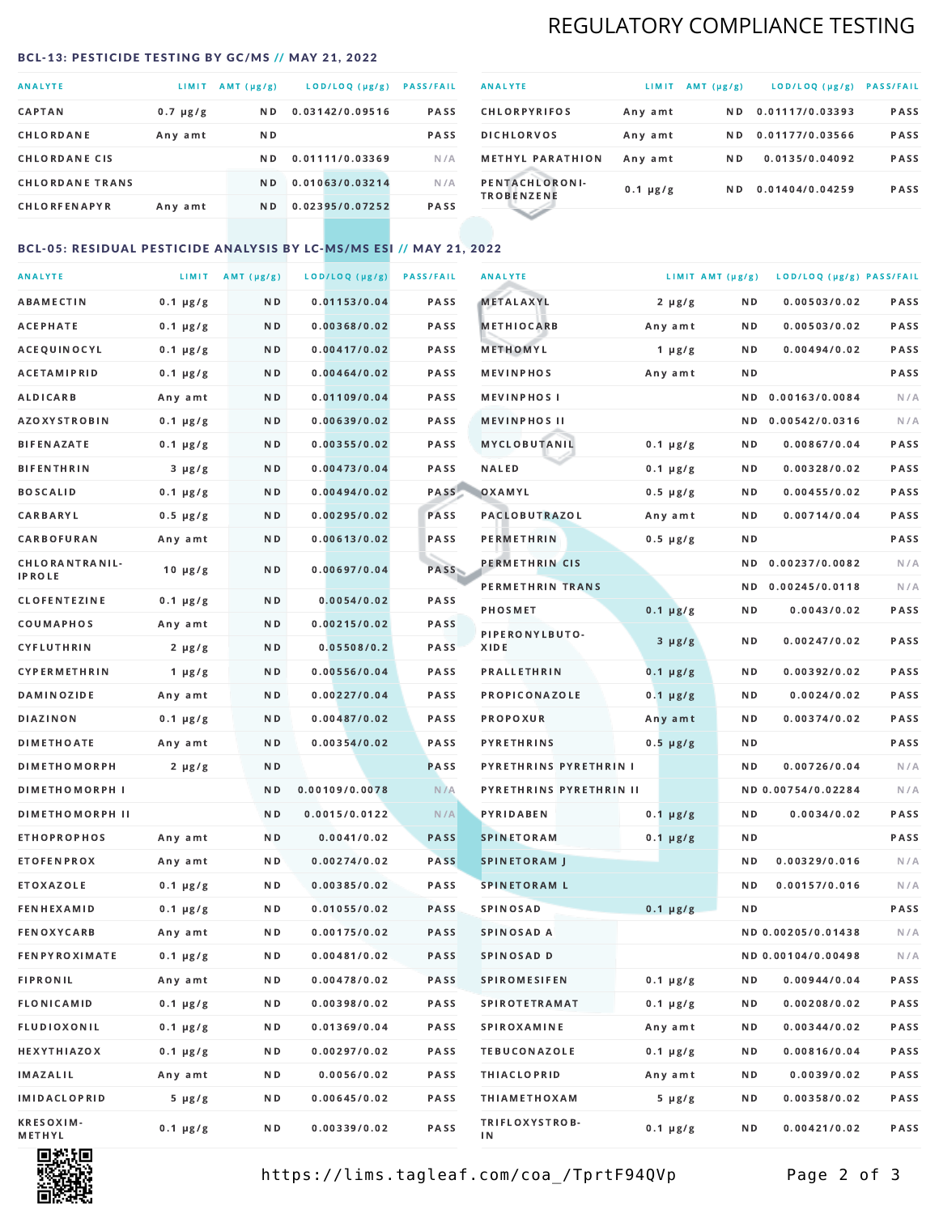## REGULATORY COMPLIANCE TESTING

#### <span id="page-1-0"></span>BCL-13: PESTICIDE TESTING BY GC/MS // MAY 21, 2022

| <b>ANALYTE</b>         | <b>LIMIT</b>  | $AMT(\mu g/g)$ | LOD/LOQ (µg/g)  | <b>PASS/FAIL</b> |
|------------------------|---------------|----------------|-----------------|------------------|
| <b>CAPTAN</b>          | $0.7 \mu g/g$ | ND.            | 0.03142/0.09516 | PASS             |
| CHLORDANE              | Any amt       | ND.            |                 | <b>PASS</b>      |
| <b>CHLORDANE CIS</b>   |               | ND.            | 0.01111/0.03369 | N/A              |
| <b>CHLORDANE TRANS</b> |               | N <sub>D</sub> | 0.01063/0.03214 | N/A              |
| <b>CHLORFENAPYR</b>    | Any amt       | ND.            | 0.02395/0.07252 | <b>PASS</b>      |

| <b>ANALYTE</b>                      | LIMIT         | $AMT(\mu g/g)$ | LOD/LOQ (µg/g)  | <b>PASS/FAIL</b> |
|-------------------------------------|---------------|----------------|-----------------|------------------|
| <b>CHLORPYRIFOS</b>                 | Any amt       | N D            | 0.01117/0.03393 | <b>PASS</b>      |
| <b>DICHLORVOS</b>                   | Any amt       | N D            | 0.01177/0.03566 | PASS             |
| <b>METHYL PARATHION</b>             | Any amt       | ND.            | 0.0135/0.04092  | <b>PASS</b>      |
| PENTACHLORONI-<br><b>TROBENZENE</b> | $0.1 \mu g/g$ | ND.            | 0.01404/0.04259 | <b>PASS</b>      |
|                                     |               |                |                 |                  |

### BCL-05: RESIDUAL PESTICIDE ANALYSIS BY LC-MS/MS ESI // MAY 21, 2022

| <b>ANALYTE</b>             |               | LIMIT AMT $(\mu g/g)$ | LOD/LOQ (µg/g) | <b>PASS/FAIL</b> | <b>ANALYTE</b>          | LIMIT AMT (µg/g) |     | LOD/LOQ (µg/g) PASS/FAIL |      |
|----------------------------|---------------|-----------------------|----------------|------------------|-------------------------|------------------|-----|--------------------------|------|
| ABAMECTIN                  | $0.1 \mu g/g$ | N D                   | 0.01153/0.04   | PASS             | <b>METALAXYL</b>        | $2 \mu g/g$      | N D | 0.00503/0.02             | PASS |
| <b>ACEPHATE</b>            | $0.1 \mu g/g$ | N D                   | 0.00368/0.02   | PASS             | <b>METHIOCARB</b>       | Any amt          | N D | 0.00503/0.02             | PASS |
| ACEQUINOCYL                | $0.1 \mu g/g$ | N D                   | 0.00417/0.02   | PASS             | METHOMYL                | $1 \mu g/g$      | N D | 0.00494/0.02             | PASS |
| ACETAMIPRID                | $0.1 \mu g/g$ | N D                   | 0.00464/0.02   | PASS             | <b>MEVINPHOS</b>        | Any amt          | N D |                          | PASS |
| <b>ALDICARB</b>            | Any amt       | N D                   | 0.01109/0.04   | <b>PASS</b>      | <b>MEVINPHOSI</b>       |                  | N D | 0.00163/0.0084           | N/A  |
| AZOXYSTROBIN               | $0.1 \mu g/g$ | N D                   | 0.00639/0.02   | PASS             | <b>MEVINPHOS II</b>     |                  | N D | 0.00542/0.0316           | N/A  |
| <b>BIFENAZATE</b>          | $0.1 \mu g/g$ | N D                   | 0.00355/0.02   | PASS             | <b>MYCLOBUTANIL</b>     | $0.1 \mu g/g$    | N D | 0.00867/0.04             | PASS |
| <b>BIFENTHRIN</b>          | $3 \mu g/g$   | N D                   | 0.00473/0.04   | PASS             | <b>NALED</b>            | $0.1 \mu g/g$    | N D | 0.00328/0.02             | PASS |
| <b>BOSCALID</b>            | $0.1 \mu g/g$ | N D                   | 0.00494/0.02   | PASS             | OXAMYL                  | $0.5 \mu g/g$    | N D | 0.00455/0.02             | PASS |
| CARBARYL                   | $0.5 \mu g/g$ | N D                   | 0.00295/0.02   | PASS             | PACLOBUTRAZOL           | Any amt          | N D | 0.00714/0.04             | PASS |
| CARBOFURAN                 | Any amt       | N D                   | 0.00613/0.02   | PASS             | PERMETHRIN              | $0.5 \mu g/g$    | N D |                          | PASS |
| CHLORANTRANIL-             | $10 \mu g/g$  | N D                   | 0.00697/0.04   | PASS             | PERMETHRIN CIS          |                  | N D | 0.00237/0.0082           | N/A  |
| IPROLE                     |               |                       |                |                  | PERMETHRIN TRANS        |                  |     | ND 0.00245/0.0118        | N/A  |
| <b>CLOFENTEZINE</b>        | $0.1 \mu g/g$ | ND.                   | 0.0054/0.02    | PASS             | <b>PHOSMET</b>          | $0.1 \mu g/g$    | N D | 0.0043/0.02              | PASS |
| COUMAPHOS                  | Any amt       | N D                   | 0.00215/0.02   | <b>PASS</b>      | PIPERONYLBUTO-          | $3 \mu g/g$      | N D | 0.00247/0.02             | PASS |
| CYFLUTHRIN                 | $2 \mu g/g$   | ND.                   | 0.05508/0.2    | PASS             | XIDE                    |                  |     |                          |      |
| CYPERMETHRIN               | $1 \mu g/g$   | N D                   | 0.00556/0.04   | PASS             | <b>PRALLETHRIN</b>      | $0.1 \mu g/g$    | N D | 0.00392/0.02             | PASS |
| <b>DAMINOZIDE</b>          | Any amt       | N D                   | 0.00227/0.04   | PASS             | PROPICONAZOLE           | $0.1 \mu g/g$    | N D | 0.0024/0.02              | PASS |
| <b>DIAZINON</b>            | $0.1 \mu g/g$ | N D                   | 0.00487/0.02   | <b>PASS</b>      | PROPOXUR                | Any amt          | N D | 0.00374/0.02             | PASS |
| <b>DIMETHOATE</b>          | Any amt       | N D                   | 0.00354/0.02   | PASS             | <b>PYRETHRINS</b>       | $0.5 \mu g/g$    | N D |                          | PASS |
| <b>DIMETHOMORPH</b>        | $2 \mu g/g$   | N D                   |                | PASS             | PYRETHRINS PYRETHRIN I  |                  | ND. | 0.00726/0.04             | N/A  |
| <b>DIMETHOMORPH I</b>      |               | N D                   | 0.00109/0.0078 | N/A              | PYRETHRINS PYRETHRIN II |                  |     | ND 0.00754/0.02284       | N/A  |
| <b>DIMETHOMORPH II</b>     |               | N D                   | 0.0015/0.0122  | N/A              | <b>PYRIDABEN</b>        | $0.1 \mu g/g$    | N D | 0.0034/0.02              | PASS |
| <b>ETHOPROPHOS</b>         | Any amt       | N D                   | 0.0041/0.02    | <b>PASS</b>      | <b>SPINETORAM</b>       | $0.1 \mu g/g$    | N D |                          | PASS |
| <b>ETOFENPROX</b>          | Any amt       | N D                   | 0.00274/0.02   | <b>PASS</b>      | <b>SPINETORAM J</b>     |                  | N D | 0.00329/0.016            | N/A  |
| ETOXAZOLE                  | $0.1 \mu g/g$ | N D                   | 0.00385/0.02   | <b>PASS</b>      | <b>SPINETORAM L</b>     |                  | ND  | 0.00157/0.016            | N/A  |
| <b>FENHEXAMID</b>          | $0.1 \mu g/g$ | N D                   | 0.01055/0.02   | <b>PASS</b>      | SPINOSAD                | $0.1 \mu g/g$    | N D |                          | PASS |
| <b>FENOXYCARB</b>          | Any amt       | N D                   | 0.00175/0.02   | PASS             | SPINOSAD A              |                  |     | ND 0.00205/0.01438       | N/A  |
| <b>FENPYROXIMATE</b>       | $0.1 \mu g/g$ | N D                   | 0.00481/0.02   | PASS             | SPINOSAD D              |                  |     | ND 0.00104/0.00498       | N/A  |
| <b>FIPRONIL</b>            | Any amt       | N D                   | 0.00478/0.02   | PASS             | <b>SPIROMESIFEN</b>     | $0.1 \mu g/g$    | N D | 0.00944/0.04             | PASS |
| <b>FLONICAMID</b>          | $0.1 \mu g/g$ | N D                   | 0.00398/0.02   | PASS             | <b>SPIROTETRAMAT</b>    | $0.1 \mu g/g$    | N D | 0.00208/0.02             | PASS |
| FLUDIOXONIL                | $0.1 \mu g/g$ | N D                   | 0.01369/0.04   | PASS             | <b>SPIROXAMINE</b>      | Any amt          | N D | 0.00344/0.02             | PASS |
| HEXYTHIAZOX                | $0.1 \mu g/g$ | N D                   | 0.00297/0.02   | PASS             | <b>TEBUCONAZOLE</b>     | $0.1 \mu g/g$    | N D | 0.00816/0.04             | PASS |
| IMAZALIL                   | Any amt       | N D                   | 0.0056/0.02    | PASS             | <b>THIACLOPRID</b>      | Any amt          | N D | 0.0039/0.02              | PASS |
| IMIDACLOPRID               | $5 \mu g/g$   | N D                   | 0.00645/0.02   | PASS             | <b>THIAMETHOXAM</b>     | $5 \mu g/g$      | N D | 0.00358/0.02             | PASS |
| <b>KRESOXIM-</b><br>METHYL | $0.1 \mu g/g$ | N D                   | 0.00339/0.02   | PASS             | TRIFLOXYSTROB-<br>ΙN    | $0.1 \mu g/g$    | N D | 0.00421/0.02             | PASS |